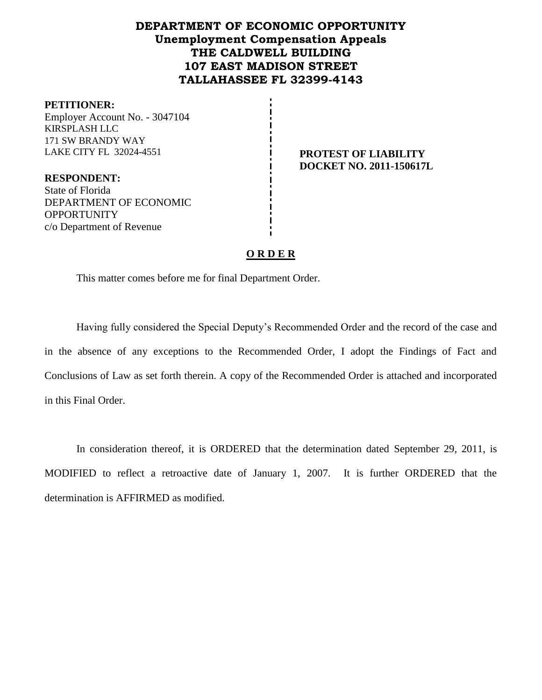# **DEPARTMENT OF ECONOMIC OPPORTUNITY Unemployment Compensation Appeals THE CALDWELL BUILDING 107 EAST MADISON STREET TALLAHASSEE FL 32399-4143**

#### **PETITIONER:**

Employer Account No. - 3047104 KIRSPLASH LLC 171 SW BRANDY WAY LAKE CITY FL 32024-4551 **PROTEST OF LIABILITY**

**DOCKET NO. 2011-150617L**

**RESPONDENT:** State of Florida DEPARTMENT OF ECONOMIC **OPPORTUNITY** c/o Department of Revenue

## **O R D E R**

This matter comes before me for final Department Order.

Having fully considered the Special Deputy's Recommended Order and the record of the case and in the absence of any exceptions to the Recommended Order, I adopt the Findings of Fact and Conclusions of Law as set forth therein. A copy of the Recommended Order is attached and incorporated in this Final Order.

In consideration thereof, it is ORDERED that the determination dated September 29, 2011, is MODIFIED to reflect a retroactive date of January 1, 2007. It is further ORDERED that the determination is AFFIRMED as modified.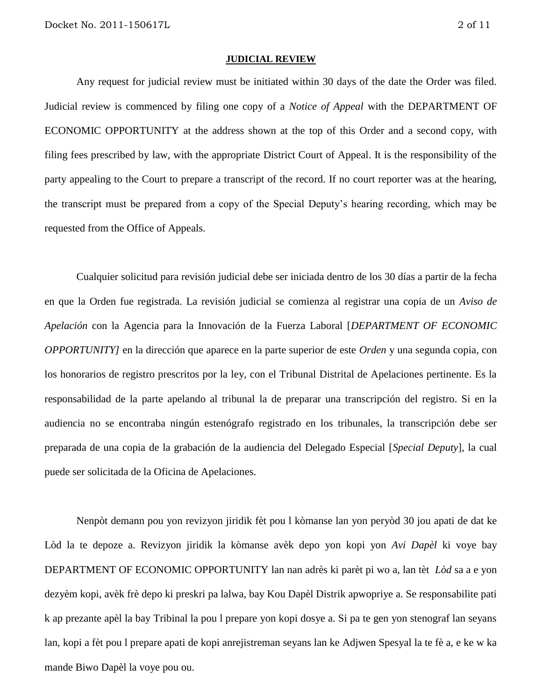#### **JUDICIAL REVIEW**

Any request for judicial review must be initiated within 30 days of the date the Order was filed. Judicial review is commenced by filing one copy of a *Notice of Appeal* with the DEPARTMENT OF ECONOMIC OPPORTUNITY at the address shown at the top of this Order and a second copy, with filing fees prescribed by law, with the appropriate District Court of Appeal. It is the responsibility of the party appealing to the Court to prepare a transcript of the record. If no court reporter was at the hearing, the transcript must be prepared from a copy of the Special Deputy's hearing recording, which may be requested from the Office of Appeals.

Cualquier solicitud para revisión judicial debe ser iniciada dentro de los 30 días a partir de la fecha en que la Orden fue registrada. La revisión judicial se comienza al registrar una copia de un *Aviso de Apelación* con la Agencia para la Innovación de la Fuerza Laboral [*DEPARTMENT OF ECONOMIC OPPORTUNITY]* en la dirección que aparece en la parte superior de este *Orden* y una segunda copia, con los honorarios de registro prescritos por la ley, con el Tribunal Distrital de Apelaciones pertinente. Es la responsabilidad de la parte apelando al tribunal la de preparar una transcripción del registro. Si en la audiencia no se encontraba ningún estenógrafo registrado en los tribunales, la transcripción debe ser preparada de una copia de la grabación de la audiencia del Delegado Especial [*Special Deputy*], la cual puede ser solicitada de la Oficina de Apelaciones.

Nenpòt demann pou yon revizyon jiridik fèt pou l kòmanse lan yon peryòd 30 jou apati de dat ke Lòd la te depoze a. Revizyon jiridik la kòmanse avèk depo yon kopi yon *Avi Dapèl* ki voye bay DEPARTMENT OF ECONOMIC OPPORTUNITY lan nan adrès ki parèt pi wo a, lan tèt *Lòd* sa a e yon dezyèm kopi, avèk frè depo ki preskri pa lalwa, bay Kou Dapèl Distrik apwopriye a. Se responsabilite pati k ap prezante apèl la bay Tribinal la pou l prepare yon kopi dosye a. Si pa te gen yon stenograf lan seyans lan, kopi a fèt pou l prepare apati de kopi anrejistreman seyans lan ke Adjwen Spesyal la te fè a, e ke w ka mande Biwo Dapèl la voye pou ou.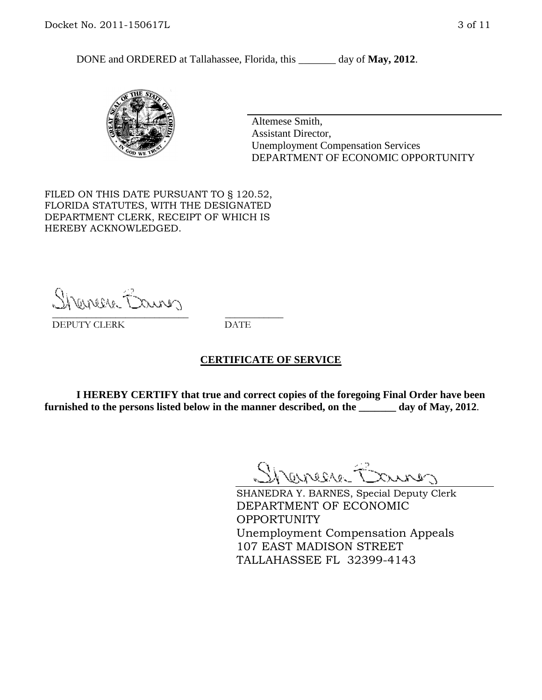DONE and ORDERED at Tallahassee, Florida, this day of May, 2012.



Altemese Smith, Assistant Director, Unemployment Compensation Services DEPARTMENT OF ECONOMIC OPPORTUNITY

FILED ON THIS DATE PURSUANT TO § 120.52, FLORIDA STATUTES, WITH THE DESIGNATED DEPARTMENT CLERK, RECEIPT OF WHICH IS HEREBY ACKNOWLEDGED.

Shenesse Bainer \_\_\_\_\_\_\_\_\_\_\_\_\_\_\_\_\_\_\_\_\_\_\_\_\_\_\_\_ \_\_\_\_\_\_\_\_\_\_\_\_

DEPUTY CLERK DATE

## **CERTIFICATE OF SERVICE**

**I HEREBY CERTIFY that true and correct copies of the foregoing Final Order have been furnished to the persons listed below in the manner described, on the \_\_\_\_\_\_\_ day of May, 2012**.

Shaner Barnes

SHANEDRA Y. BARNES, Special Deputy Clerk DEPARTMENT OF ECONOMIC OPPORTUNITY Unemployment Compensation Appeals 107 EAST MADISON STREET TALLAHASSEE FL 32399-4143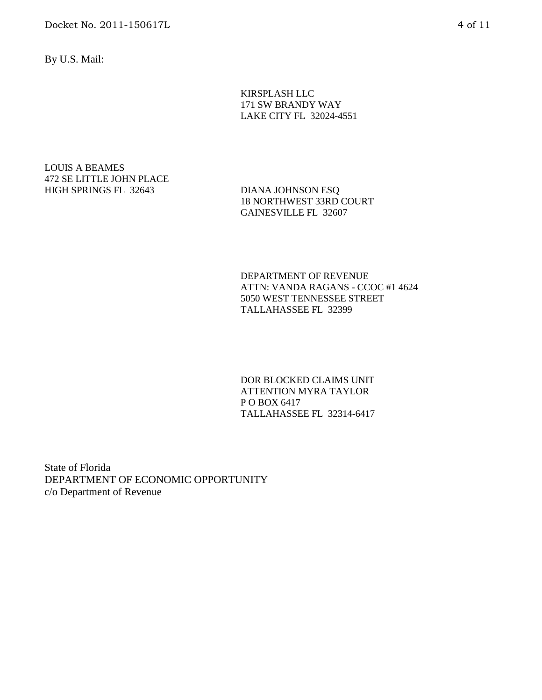Docket No. 2011-150617L 4 of 11

By U.S. Mail:

KIRSPLASH LLC 171 SW BRANDY WAY LAKE CITY FL 32024-4551

LOUIS A BEAMES 472 SE LITTLE JOHN PLACE HIGH SPRINGS FL 32643 DIANA JOHNSON ESQ

18 NORTHWEST 33RD COURT GAINESVILLE FL 32607

DEPARTMENT OF REVENUE ATTN: VANDA RAGANS - CCOC #1 4624 5050 WEST TENNESSEE STREET TALLAHASSEE FL 32399

DOR BLOCKED CLAIMS UNIT ATTENTION MYRA TAYLOR P O BOX 6417 TALLAHASSEE FL 32314-6417

State of Florida DEPARTMENT OF ECONOMIC OPPORTUNITY c/o Department of Revenue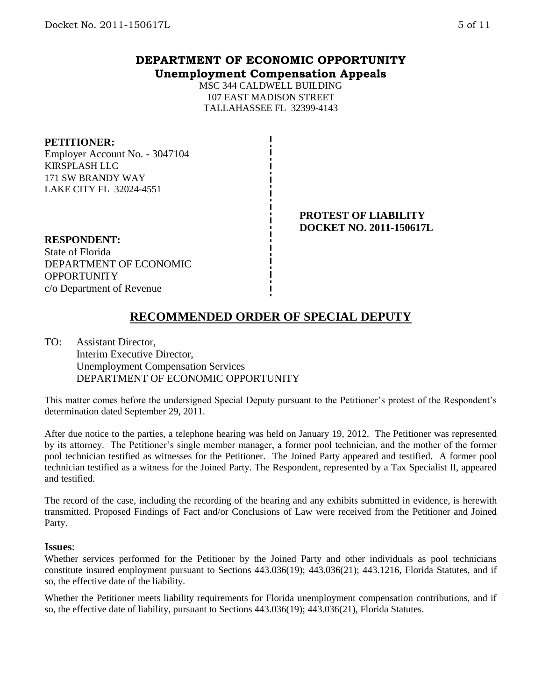## **DEPARTMENT OF ECONOMIC OPPORTUNITY Unemployment Compensation Appeals**

MSC 344 CALDWELL BUILDING 107 EAST MADISON STREET TALLAHASSEE FL 32399-4143

#### **PETITIONER:**

Employer Account No. - 3047104 KIRSPLASH LLC 171 SW BRANDY WAY LAKE CITY FL 32024-4551

## **PROTEST OF LIABILITY DOCKET NO. 2011-150617L**

**RESPONDENT:** State of Florida DEPARTMENT OF ECONOMIC **OPPORTUNITY** c/o Department of Revenue

# **RECOMMENDED ORDER OF SPECIAL DEPUTY**

TO: Assistant Director, Interim Executive Director, Unemployment Compensation Services DEPARTMENT OF ECONOMIC OPPORTUNITY

This matter comes before the undersigned Special Deputy pursuant to the Petitioner's protest of the Respondent's determination dated September 29, 2011.

After due notice to the parties, a telephone hearing was held on January 19, 2012. The Petitioner was represented by its attorney. The Petitioner's single member manager, a former pool technician, and the mother of the former pool technician testified as witnesses for the Petitioner. The Joined Party appeared and testified. A former pool technician testified as a witness for the Joined Party. The Respondent, represented by a Tax Specialist II, appeared and testified.

The record of the case, including the recording of the hearing and any exhibits submitted in evidence, is herewith transmitted. Proposed Findings of Fact and/or Conclusions of Law were received from the Petitioner and Joined Party.

#### **Issues**:

Whether services performed for the Petitioner by the Joined Party and other individuals as pool technicians constitute insured employment pursuant to Sections 443.036(19); 443.036(21); 443.1216, Florida Statutes, and if so, the effective date of the liability.

Whether the Petitioner meets liability requirements for Florida unemployment compensation contributions, and if so, the effective date of liability, pursuant to Sections 443.036(19); 443.036(21), Florida Statutes.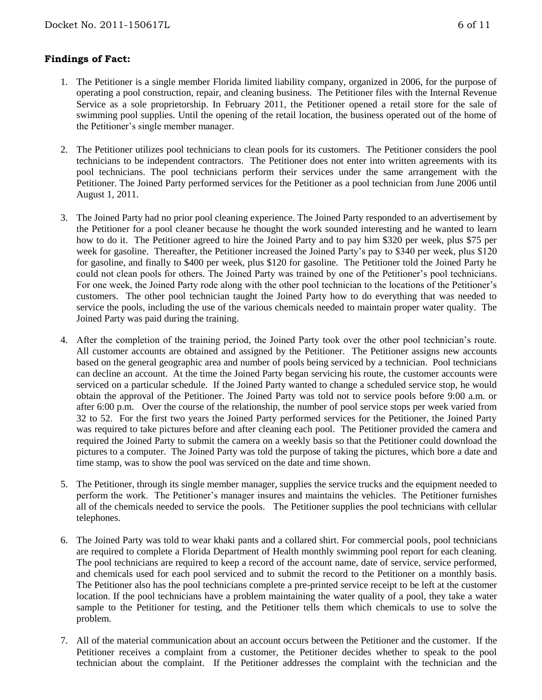## **Findings of Fact:**

- 1. The Petitioner is a single member Florida limited liability company, organized in 2006, for the purpose of operating a pool construction, repair, and cleaning business. The Petitioner files with the Internal Revenue Service as a sole proprietorship. In February 2011, the Petitioner opened a retail store for the sale of swimming pool supplies. Until the opening of the retail location, the business operated out of the home of the Petitioner's single member manager.
- 2. The Petitioner utilizes pool technicians to clean pools for its customers. The Petitioner considers the pool technicians to be independent contractors. The Petitioner does not enter into written agreements with its pool technicians. The pool technicians perform their services under the same arrangement with the Petitioner. The Joined Party performed services for the Petitioner as a pool technician from June 2006 until August 1, 2011.
- 3. The Joined Party had no prior pool cleaning experience. The Joined Party responded to an advertisement by the Petitioner for a pool cleaner because he thought the work sounded interesting and he wanted to learn how to do it. The Petitioner agreed to hire the Joined Party and to pay him \$320 per week, plus \$75 per week for gasoline. Thereafter, the Petitioner increased the Joined Party's pay to \$340 per week, plus \$120 for gasoline, and finally to \$400 per week, plus \$120 for gasoline. The Petitioner told the Joined Party he could not clean pools for others. The Joined Party was trained by one of the Petitioner's pool technicians. For one week, the Joined Party rode along with the other pool technician to the locations of the Petitioner's customers. The other pool technician taught the Joined Party how to do everything that was needed to service the pools, including the use of the various chemicals needed to maintain proper water quality. The Joined Party was paid during the training.
- 4. After the completion of the training period, the Joined Party took over the other pool technician's route. All customer accounts are obtained and assigned by the Petitioner. The Petitioner assigns new accounts based on the general geographic area and number of pools being serviced by a technician. Pool technicians can decline an account. At the time the Joined Party began servicing his route, the customer accounts were serviced on a particular schedule. If the Joined Party wanted to change a scheduled service stop, he would obtain the approval of the Petitioner. The Joined Party was told not to service pools before 9:00 a.m. or after 6:00 p.m. Over the course of the relationship, the number of pool service stops per week varied from 32 to 52. For the first two years the Joined Party performed services for the Petitioner, the Joined Party was required to take pictures before and after cleaning each pool. The Petitioner provided the camera and required the Joined Party to submit the camera on a weekly basis so that the Petitioner could download the pictures to a computer. The Joined Party was told the purpose of taking the pictures, which bore a date and time stamp, was to show the pool was serviced on the date and time shown.
- 5. The Petitioner, through its single member manager, supplies the service trucks and the equipment needed to perform the work. The Petitioner's manager insures and maintains the vehicles. The Petitioner furnishes all of the chemicals needed to service the pools. The Petitioner supplies the pool technicians with cellular telephones.
- 6. The Joined Party was told to wear khaki pants and a collared shirt. For commercial pools, pool technicians are required to complete a Florida Department of Health monthly swimming pool report for each cleaning. The pool technicians are required to keep a record of the account name, date of service, service performed, and chemicals used for each pool serviced and to submit the record to the Petitioner on a monthly basis. The Petitioner also has the pool technicians complete a pre-printed service receipt to be left at the customer location. If the pool technicians have a problem maintaining the water quality of a pool, they take a water sample to the Petitioner for testing, and the Petitioner tells them which chemicals to use to solve the problem.
- 7. All of the material communication about an account occurs between the Petitioner and the customer. If the Petitioner receives a complaint from a customer, the Petitioner decides whether to speak to the pool technician about the complaint. If the Petitioner addresses the complaint with the technician and the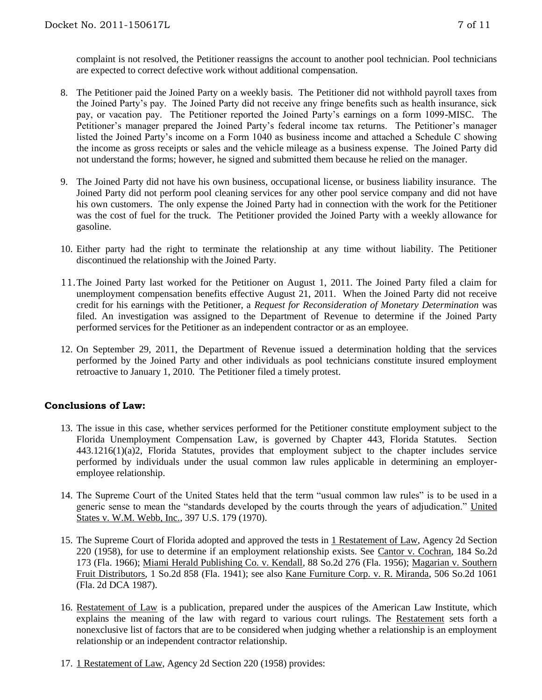complaint is not resolved, the Petitioner reassigns the account to another pool technician. Pool technicians are expected to correct defective work without additional compensation.

- 8. The Petitioner paid the Joined Party on a weekly basis. The Petitioner did not withhold payroll taxes from the Joined Party's pay. The Joined Party did not receive any fringe benefits such as health insurance, sick pay, or vacation pay. The Petitioner reported the Joined Party's earnings on a form 1099-MISC. The Petitioner's manager prepared the Joined Party's federal income tax returns. The Petitioner's manager listed the Joined Party's income on a Form 1040 as business income and attached a Schedule C showing the income as gross receipts or sales and the vehicle mileage as a business expense. The Joined Party did not understand the forms; however, he signed and submitted them because he relied on the manager.
- 9. The Joined Party did not have his own business, occupational license, or business liability insurance. The Joined Party did not perform pool cleaning services for any other pool service company and did not have his own customers. The only expense the Joined Party had in connection with the work for the Petitioner was the cost of fuel for the truck. The Petitioner provided the Joined Party with a weekly allowance for gasoline.
- 10. Either party had the right to terminate the relationship at any time without liability. The Petitioner discontinued the relationship with the Joined Party.
- 11.The Joined Party last worked for the Petitioner on August 1, 2011. The Joined Party filed a claim for unemployment compensation benefits effective August 21, 2011. When the Joined Party did not receive credit for his earnings with the Petitioner, a *Request for Reconsideration of Monetary Determination* was filed. An investigation was assigned to the Department of Revenue to determine if the Joined Party performed services for the Petitioner as an independent contractor or as an employee.
- 12. On September 29, 2011, the Department of Revenue issued a determination holding that the services performed by the Joined Party and other individuals as pool technicians constitute insured employment retroactive to January 1, 2010. The Petitioner filed a timely protest.

## **Conclusions of Law:**

- 13. The issue in this case, whether services performed for the Petitioner constitute employment subject to the Florida Unemployment Compensation Law, is governed by Chapter 443, Florida Statutes. Section 443.1216(1)(a)2, Florida Statutes, provides that employment subject to the chapter includes service performed by individuals under the usual common law rules applicable in determining an employeremployee relationship.
- 14. The Supreme Court of the United States held that the term "usual common law rules" is to be used in a generic sense to mean the "standards developed by the courts through the years of adjudication." United States v. W.M. Webb, Inc., 397 U.S. 179 (1970).
- 15. The Supreme Court of Florida adopted and approved the tests in 1 Restatement of Law, Agency 2d Section 220 (1958), for use to determine if an employment relationship exists. See Cantor v. Cochran, 184 So.2d 173 (Fla. 1966); Miami Herald Publishing Co. v. Kendall, 88 So.2d 276 (Fla. 1956); Magarian v. Southern Fruit Distributors, 1 So.2d 858 (Fla. 1941); see also Kane Furniture Corp. v. R. Miranda, 506 So.2d 1061 (Fla. 2d DCA 1987).
- 16. Restatement of Law is a publication, prepared under the auspices of the American Law Institute, which explains the meaning of the law with regard to various court rulings. The Restatement sets forth a nonexclusive list of factors that are to be considered when judging whether a relationship is an employment relationship or an independent contractor relationship.
- 17. 1 Restatement of Law, Agency 2d Section 220 (1958) provides: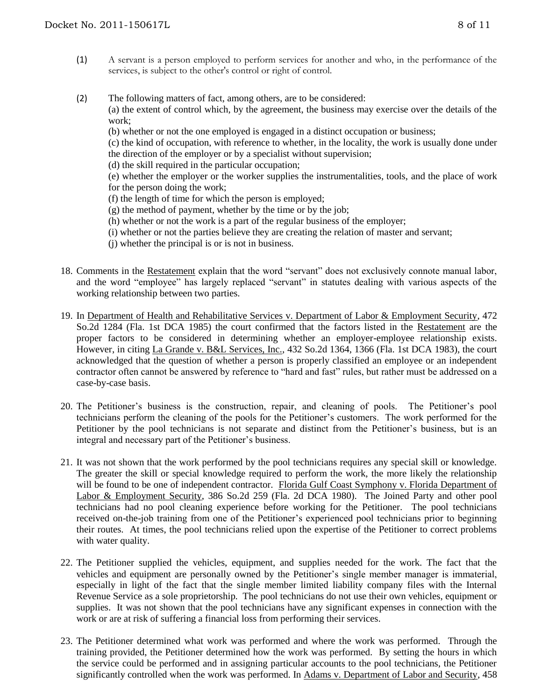- (1) A servant is a person employed to perform services for another and who, in the performance of the services, is subject to the other's control or right of control.
- (2) The following matters of fact, among others, are to be considered: (a) the extent of control which, by the agreement, the business may exercise over the details of the work;
	- (b) whether or not the one employed is engaged in a distinct occupation or business;
	- (c) the kind of occupation, with reference to whether, in the locality, the work is usually done under the direction of the employer or by a specialist without supervision;
	- (d) the skill required in the particular occupation;

(e) whether the employer or the worker supplies the instrumentalities, tools, and the place of work for the person doing the work;

- (f) the length of time for which the person is employed;
- $(g)$  the method of payment, whether by the time or by the job;
- (h) whether or not the work is a part of the regular business of the employer;
- (i) whether or not the parties believe they are creating the relation of master and servant;
- (j) whether the principal is or is not in business.
- 18. Comments in the Restatement explain that the word "servant" does not exclusively connote manual labor, and the word "employee" has largely replaced "servant" in statutes dealing with various aspects of the working relationship between two parties.
- 19. In Department of Health and Rehabilitative Services v. Department of Labor & Employment Security, 472 So.2d 1284 (Fla. 1st DCA 1985) the court confirmed that the factors listed in the Restatement are the proper factors to be considered in determining whether an employer-employee relationship exists. However, in citing La Grande v. B&L Services, Inc., 432 So.2d 1364, 1366 (Fla. 1st DCA 1983), the court acknowledged that the question of whether a person is properly classified an employee or an independent contractor often cannot be answered by reference to "hard and fast" rules, but rather must be addressed on a case-by-case basis.
- 20. The Petitioner's business is the construction, repair, and cleaning of pools. The Petitioner's pool technicians perform the cleaning of the pools for the Petitioner's customers. The work performed for the Petitioner by the pool technicians is not separate and distinct from the Petitioner's business, but is an integral and necessary part of the Petitioner's business.
- 21. It was not shown that the work performed by the pool technicians requires any special skill or knowledge. The greater the skill or special knowledge required to perform the work, the more likely the relationship will be found to be one of independent contractor. Florida Gulf Coast Symphony v. Florida Department of Labor & Employment Security, 386 So.2d 259 (Fla. 2d DCA 1980). The Joined Party and other pool technicians had no pool cleaning experience before working for the Petitioner. The pool technicians received on-the-job training from one of the Petitioner's experienced pool technicians prior to beginning their routes. At times, the pool technicians relied upon the expertise of the Petitioner to correct problems with water quality.
- 22. The Petitioner supplied the vehicles, equipment, and supplies needed for the work. The fact that the vehicles and equipment are personally owned by the Petitioner's single member manager is immaterial, especially in light of the fact that the single member limited liability company files with the Internal Revenue Service as a sole proprietorship. The pool technicians do not use their own vehicles, equipment or supplies. It was not shown that the pool technicians have any significant expenses in connection with the work or are at risk of suffering a financial loss from performing their services.
- 23. The Petitioner determined what work was performed and where the work was performed. Through the training provided, the Petitioner determined how the work was performed. By setting the hours in which the service could be performed and in assigning particular accounts to the pool technicians, the Petitioner significantly controlled when the work was performed. In Adams v. Department of Labor and Security, 458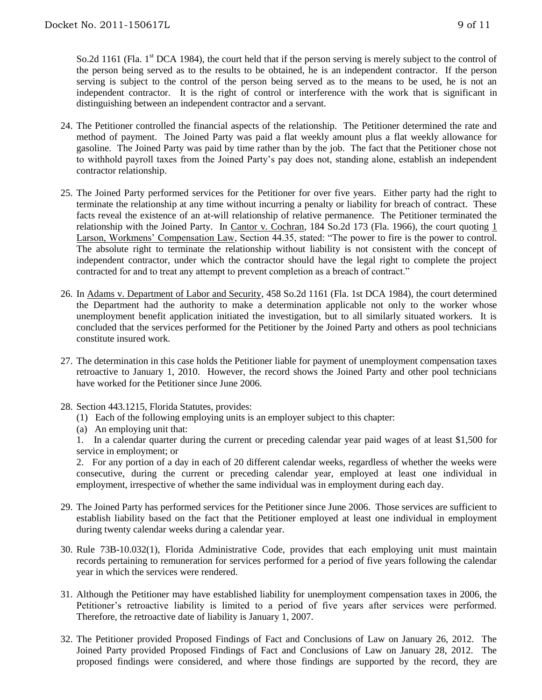So.2d 1161 (Fla. 1<sup>st</sup> DCA 1984), the court held that if the person serving is merely subject to the control of the person being served as to the results to be obtained, he is an independent contractor. If the person serving is subject to the control of the person being served as to the means to be used, he is not an independent contractor. It is the right of control or interference with the work that is significant in distinguishing between an independent contractor and a servant.

- 24. The Petitioner controlled the financial aspects of the relationship. The Petitioner determined the rate and method of payment. The Joined Party was paid a flat weekly amount plus a flat weekly allowance for gasoline. The Joined Party was paid by time rather than by the job. The fact that the Petitioner chose not to withhold payroll taxes from the Joined Party's pay does not, standing alone, establish an independent contractor relationship.
- 25. The Joined Party performed services for the Petitioner for over five years. Either party had the right to terminate the relationship at any time without incurring a penalty or liability for breach of contract. These facts reveal the existence of an at-will relationship of relative permanence. The Petitioner terminated the relationship with the Joined Party. In Cantor v. Cochran, 184 So.2d 173 (Fla. 1966), the court quoting 1 Larson, Workmens' Compensation Law, Section 44.35, stated: "The power to fire is the power to control. The absolute right to terminate the relationship without liability is not consistent with the concept of independent contractor, under which the contractor should have the legal right to complete the project contracted for and to treat any attempt to prevent completion as a breach of contract."
- 26. In Adams v. Department of Labor and Security, 458 So.2d 1161 (Fla. 1st DCA 1984), the court determined the Department had the authority to make a determination applicable not only to the worker whose unemployment benefit application initiated the investigation, but to all similarly situated workers. It is concluded that the services performed for the Petitioner by the Joined Party and others as pool technicians constitute insured work.
- 27. The determination in this case holds the Petitioner liable for payment of unemployment compensation taxes retroactive to January 1, 2010. However, the record shows the Joined Party and other pool technicians have worked for the Petitioner since June 2006.
- 28. Section 443.1215, Florida Statutes, provides:
	- (1) Each of the following employing units is an employer subject to this chapter:
	- (a) An employing unit that:

1. In a calendar quarter during the current or preceding calendar year paid wages of at least \$1,500 for service in employment; or

2. For any portion of a day in each of 20 different calendar weeks, regardless of whether the weeks were consecutive, during the current or preceding calendar year, employed at least one individual in employment, irrespective of whether the same individual was in employment during each day.

- 29. The Joined Party has performed services for the Petitioner since June 2006. Those services are sufficient to establish liability based on the fact that the Petitioner employed at least one individual in employment during twenty calendar weeks during a calendar year.
- 30. Rule 73B-10.032(1), Florida Administrative Code, provides that each employing unit must maintain records pertaining to remuneration for services performed for a period of five years following the calendar year in which the services were rendered.
- 31. Although the Petitioner may have established liability for unemployment compensation taxes in 2006, the Petitioner's retroactive liability is limited to a period of five years after services were performed. Therefore, the retroactive date of liability is January 1, 2007.
- 32. The Petitioner provided Proposed Findings of Fact and Conclusions of Law on January 26, 2012. The Joined Party provided Proposed Findings of Fact and Conclusions of Law on January 28, 2012. The proposed findings were considered, and where those findings are supported by the record, they are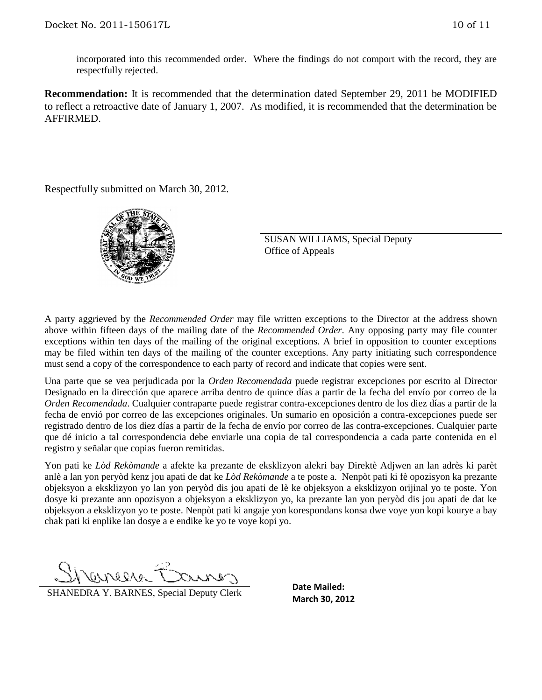incorporated into this recommended order. Where the findings do not comport with the record, they are respectfully rejected.

**Recommendation:** It is recommended that the determination dated September 29, 2011 be MODIFIED to reflect a retroactive date of January 1, 2007. As modified, it is recommended that the determination be AFFIRMED.

Respectfully submitted on March 30, 2012.



SUSAN WILLIAMS, Special Deputy Office of Appeals

A party aggrieved by the *Recommended Order* may file written exceptions to the Director at the address shown above within fifteen days of the mailing date of the *Recommended Order*. Any opposing party may file counter exceptions within ten days of the mailing of the original exceptions. A brief in opposition to counter exceptions may be filed within ten days of the mailing of the counter exceptions. Any party initiating such correspondence must send a copy of the correspondence to each party of record and indicate that copies were sent.

Una parte que se vea perjudicada por la *Orden Recomendada* puede registrar excepciones por escrito al Director Designado en la dirección que aparece arriba dentro de quince días a partir de la fecha del envío por correo de la *Orden Recomendada*. Cualquier contraparte puede registrar contra-excepciones dentro de los diez días a partir de la fecha de envió por correo de las excepciones originales. Un sumario en oposición a contra-excepciones puede ser registrado dentro de los diez días a partir de la fecha de envío por correo de las contra-excepciones. Cualquier parte que dé inicio a tal correspondencia debe enviarle una copia de tal correspondencia a cada parte contenida en el registro y señalar que copias fueron remitidas.

Yon pati ke *Lòd Rekòmande* a afekte ka prezante de eksklizyon alekri bay Direktè Adjwen an lan adrès ki parèt anlè a lan yon peryòd kenz jou apati de dat ke *Lòd Rekòmande* a te poste a. Nenpòt pati ki fè opozisyon ka prezante objeksyon a eksklizyon yo lan yon peryòd dis jou apati de lè ke objeksyon a eksklizyon orijinal yo te poste. Yon dosye ki prezante ann opozisyon a objeksyon a eksklizyon yo, ka prezante lan yon peryòd dis jou apati de dat ke objeksyon a eksklizyon yo te poste. Nenpòt pati ki angaje yon korespondans konsa dwe voye yon kopi kourye a bay chak pati ki enplike lan dosye a e endike ke yo te voye kopi yo.

ONDIANO-

**SHANEDRA Y. BARNES, Special Deputy Clerk** March 30, 2012

**Date Mailed:**